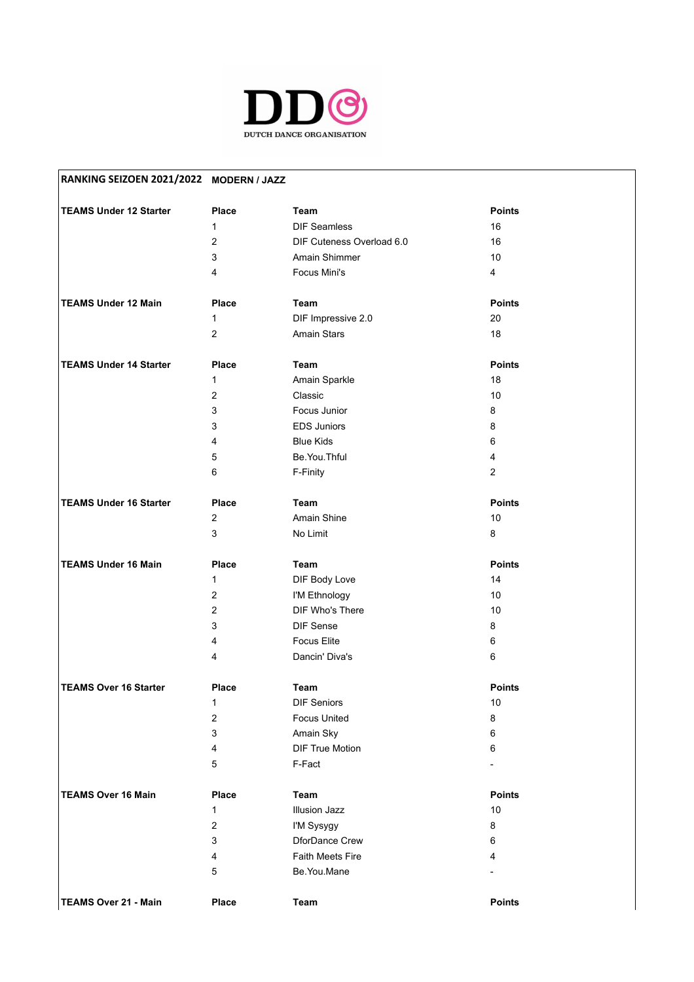

| RANKING SEIZOEN 2021/2022 MODERN / JAZZ |                           |                           |                |
|-----------------------------------------|---------------------------|---------------------------|----------------|
| <b>TEAMS Under 12 Starter</b>           | <b>Place</b>              | <b>Team</b>               | <b>Points</b>  |
|                                         | $\mathbf{1}$              | <b>DIF Seamless</b>       | 16             |
|                                         | $\overline{2}$            | DIF Cuteness Overload 6.0 | 16             |
|                                         | $\ensuremath{\mathsf{3}}$ | Amain Shimmer             | 10             |
|                                         | 4                         | Focus Mini's              | 4              |
|                                         |                           |                           |                |
| <b>TEAMS Under 12 Main</b>              | <b>Place</b>              | Team                      | <b>Points</b>  |
|                                         | 1                         | DIF Impressive 2.0        | 20             |
|                                         | $\overline{c}$            | Amain Stars               | 18             |
| <b>TEAMS Under 14 Starter</b>           | <b>Place</b>              | Team                      | <b>Points</b>  |
|                                         | 1                         | Amain Sparkle             | 18             |
|                                         | $\overline{2}$            | Classic                   | 10             |
|                                         | 3                         | Focus Junior              | 8              |
|                                         |                           |                           |                |
|                                         | 3                         | <b>EDS Juniors</b>        | 8              |
|                                         | 4                         | <b>Blue Kids</b>          | 6              |
|                                         | 5                         | Be.You.Thful              | 4              |
|                                         | 6                         | F-Finity                  | $\overline{2}$ |
| <b>TEAMS Under 16 Starter</b>           | <b>Place</b>              | Team                      | <b>Points</b>  |
|                                         | $\overline{c}$            | Amain Shine               | 10             |
|                                         | 3                         | No Limit                  | 8              |
| <b>TEAMS Under 16 Main</b>              | <b>Place</b>              | <b>Team</b>               | <b>Points</b>  |
|                                         | 1                         | DIF Body Love             | 14             |
|                                         | $\overline{\mathbf{c}}$   | I'M Ethnology             | 10             |
|                                         | $\overline{c}$            | DIF Who's There           | 10             |
|                                         | 3                         | DIF Sense                 | 8              |
|                                         | 4                         | <b>Focus Elite</b>        | 6              |
|                                         | 4                         | Dancin' Diva's            | 6              |
|                                         |                           |                           |                |
| <b>TEAMS Over 16 Starter</b>            | <b>Place</b>              | Team                      | <b>Points</b>  |
|                                         | 1                         | <b>DIF Seniors</b>        | 10             |
|                                         | $\overline{\mathbf{c}}$   | <b>Focus United</b>       | 8              |
|                                         | 3                         | Amain Sky                 | 6              |
|                                         | 4                         | <b>DIF True Motion</b>    | 6              |
|                                         | 5                         | F-Fact                    |                |
| <b>TEAMS Over 16 Main</b>               | <b>Place</b>              | <b>Team</b>               | <b>Points</b>  |
|                                         | $\mathbf 1$               | <b>Illusion Jazz</b>      | 10             |
|                                         | $\overline{c}$            | I'M Sysygy                | 8              |
|                                         | 3                         | DforDance Crew            | 6              |
|                                         | 4                         | Faith Meets Fire          | 4              |
|                                         | 5                         | Be.You.Mane               |                |
|                                         |                           |                           |                |
| <b>TEAMS Over 21 - Main</b>             | Place                     | Team                      | Points         |